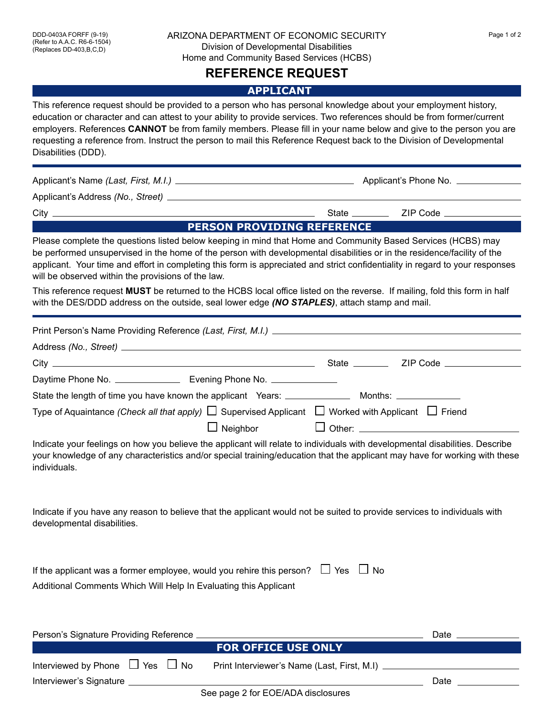## ARIZONA DEPARTMENT OF ECONOMIC SECURITY Fage 1 of 2 Division of Developmental Disabilities Home and Community Based Services (HCBS)

## **REFERENCE REQUEST**

## **APPLICANT**

This reference request should be provided to a person who has personal knowledge about your employment history, education or character and can attest to your ability to provide services. Two references should be from former/current employers. References **CANNOT** be from family members. Please fill in your name below and give to the person you are requesting a reference from. Instruct the person to mail this Reference Request back to the Division of Developmental Disabilities (DDD).

Applicant's Name *(Last, First, M.I.)* Applicant's Phone No. Applicant's Address *(No., Street)*  City State ZIP Code **PERSON PROVIDING REFERENCE**  Please complete the questions listed below keeping in mind that Home and Community Based Services (HCBS) may be performed unsupervised in the home of the person with developmental disabilities or in the residence/facility of the applicant. Your time and effort in completing this form is appreciated and strict confidentiality in regard to your responses will be observed within the provisions of the law.

This reference request **MUST** be returned to the HCBS local office listed on the reverse. If mailing, fold this form in half with the DES/DDD address on the outside, seal lower edge *(NO STAPLES)*, attach stamp and mail.

| Type of Aquaintance (Check all that apply) $\Box$ Supervised Applicant $\Box$ Worked with Applicant $\Box$ Friend                                                                                                                                                          |                            |                 |
|----------------------------------------------------------------------------------------------------------------------------------------------------------------------------------------------------------------------------------------------------------------------------|----------------------------|-----------------|
|                                                                                                                                                                                                                                                                            | $\Box$ Neighbor            |                 |
| Indicate your feelings on how you believe the applicant will relate to individuals with developmental disabilities. Describe<br>your knowledge of any characteristics and/or special training/education that the applicant may have for working with these<br>individuals. |                            |                 |
| Indicate if you have any reason to believe that the applicant would not be suited to provide services to individuals with<br>developmental disabilities.                                                                                                                   |                            |                 |
| If the applicant was a former employee, would you rehire this person? $\Box$ Yes $\Box$ No<br>Additional Comments Which Will Help In Evaluating this Applicant                                                                                                             |                            |                 |
| Person's Signature Providing Reference _________                                                                                                                                                                                                                           | <b>FOR OFFICE USE ONLY</b> | Date __________ |
| Interviewed by Phone $\Box$ Yes $\Box$ No                                                                                                                                                                                                                                  |                            |                 |
| Interviewer's Signature                                                                                                                                                                                                                                                    |                            | Date            |

See page 2 for EOE/ADA disclosures